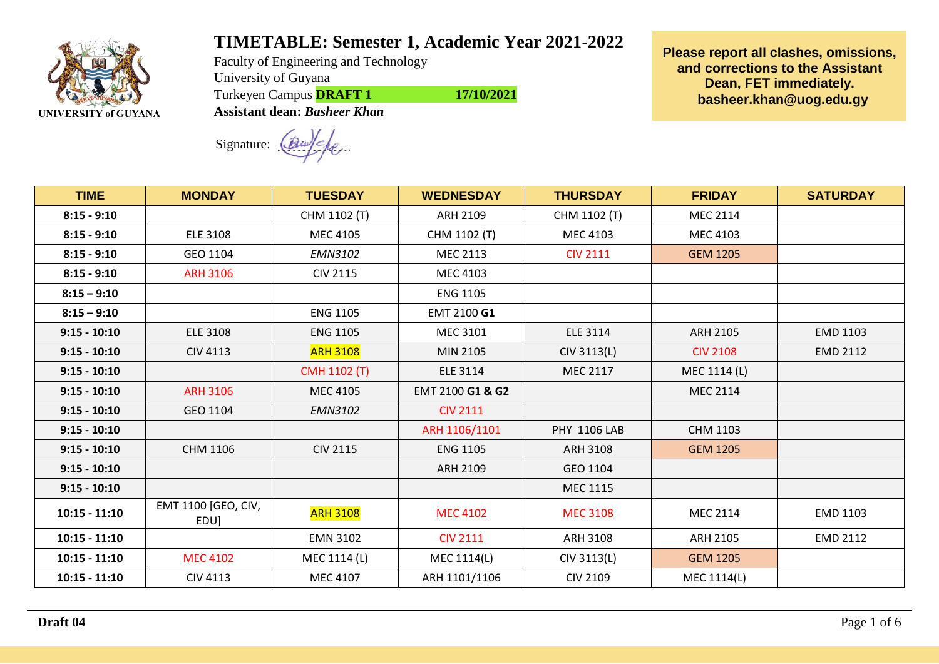

## **TIMETABLE: Semester 1, Academic Year 2021-2022**

Faculty of Engineering and Technology University of Guyana Turkeyen Campus **DRAFT 1** 17/10/2021 **Assistant dean:** *Basheer Khan*

**Please report all clashes, omissions, and corrections to the Assistant Dean, FET immediately. [basheer.khan@uog.edu.gy](mailto:basheer.khan@uog.edu.gy)**

Signature:

**TIME MONDAY TUESDAY WEDNESDAY THURSDAY FRIDAY SATURDAY 8:15 - 9:10 | | CHM 1102 (T) | ARH 2109 | CHM 1102 (T) | MEC 2114 8:15 - 9:10** | ELE 3108 | MEC 4105 | CHM 1102 (T) | MEC 4103 | MEC 4103 **8:15 - 9:10** GEO 1104 *EMN3102* MEC 2113 CIV 2111 GEM 1205 **8:15 - 9:10** ARH 3106 CIV 2115 MEC 4103 **8:15 – 9:10** ENG 1105 **8:15 – 9:10** ENG 1105 EMT 2100 **G1 9:15 - 10:10** ELE 3108 ENG 1105 MEC 3101 ELE 3114 ARH 2105 EMD 1103 **9:15 - 10:10** CIV 4113 ARH 3108 MIN 2105 CIV 3113(L) CIV 2108 EMD 2112 **9:15 - 10:10** CMH 1102 (T) ELE 3114 MEC 2117 MEC 1114 (L) **9:15 - 10:10 | ARH 3106 | MEC 4105 | EMT 2100 <b>G1 & G2** | MEC 2114 **9:15 - 10:10** GEO 1104 *EMN3102* CIV 2111 **9:15 - 10:10** ARH 1106/1101 PHY 1106 LAB CHM 1103 **9:15 - 10:10 | CHM 11**06 | CIV 2115 | ENG 1105 | ARH 3108 | GEM 1205 **9:15 - 10:10** ARH 2109 GEO 1104 **9:15 - 10:10** MEC 1115 **10:15 - 11:10** EMT 1100 [GEO, CIV, EDU] ARH 3108 MEC 4102 MEC <sup>3108</sup> MEC 2114 EMD 1103 **10:15 - 11:10 | EMN** 3102 | CIV 2111 | ARH 3108 | ARH 2105 | EMD 2112 **10:15 - 11:10** MEC 4102 MEC 1114 (L) MEC 1114(L) CIV 3113(L) GEM 1205 **10:15 - 11:10** CIV 4113 MEC 4107 ARH 1101/1106 CIV 2109 MEC 1114(L)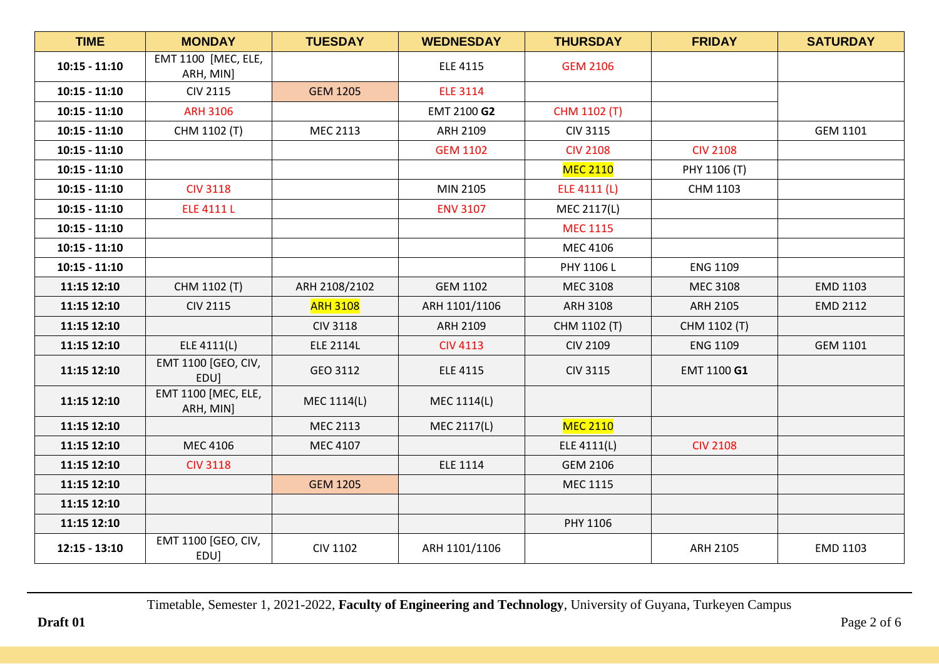| <b>TIME</b>     | <b>MONDAY</b>                    | <b>TUESDAY</b>   | <b>WEDNESDAY</b> | <b>THURSDAY</b> | <b>FRIDAY</b>   | <b>SATURDAY</b> |
|-----------------|----------------------------------|------------------|------------------|-----------------|-----------------|-----------------|
| $10:15 - 11:10$ | EMT 1100 [MEC, ELE,<br>ARH, MIN] |                  | <b>ELE 4115</b>  | <b>GEM 2106</b> |                 |                 |
| $10:15 - 11:10$ | <b>CIV 2115</b>                  | <b>GEM 1205</b>  | <b>ELE 3114</b>  |                 |                 |                 |
| $10:15 - 11:10$ | <b>ARH 3106</b>                  |                  | EMT 2100 G2      | CHM 1102 (T)    |                 |                 |
| $10:15 - 11:10$ | CHM 1102 (T)                     | <b>MEC 2113</b>  | ARH 2109         | <b>CIV 3115</b> |                 | <b>GEM 1101</b> |
| $10:15 - 11:10$ |                                  |                  | <b>GEM 1102</b>  | <b>CIV 2108</b> | <b>CIV 2108</b> |                 |
| $10:15 - 11:10$ |                                  |                  |                  | <b>MEC 2110</b> | PHY 1106 (T)    |                 |
| $10:15 - 11:10$ | <b>CIV 3118</b>                  |                  | MIN 2105         | ELE 4111 (L)    | CHM 1103        |                 |
| $10:15 - 11:10$ | <b>ELE 4111 L</b>                |                  | <b>ENV 3107</b>  | MEC 2117(L)     |                 |                 |
| $10:15 - 11:10$ |                                  |                  |                  | <b>MEC 1115</b> |                 |                 |
| $10:15 - 11:10$ |                                  |                  |                  | MEC 4106        |                 |                 |
| $10:15 - 11:10$ |                                  |                  |                  | PHY 1106 L      | <b>ENG 1109</b> |                 |
| 11:15 12:10     | CHM 1102 (T)                     | ARH 2108/2102    | <b>GEM 1102</b>  | MEC 3108        | <b>MEC 3108</b> | EMD 1103        |
| 11:15 12:10     | <b>CIV 2115</b>                  | <b>ARH 3108</b>  | ARH 1101/1106    | ARH 3108        | ARH 2105        | <b>EMD 2112</b> |
| 11:15 12:10     |                                  | <b>CIV 3118</b>  | ARH 2109         | CHM 1102 (T)    | CHM 1102 (T)    |                 |
| 11:15 12:10     | ELE 4111(L)                      | <b>ELE 2114L</b> | <b>CIV 4113</b>  | <b>CIV 2109</b> | <b>ENG 1109</b> | <b>GEM 1101</b> |
| 11:15 12:10     | EMT 1100 [GEO, CIV,<br>EDU]      | GEO 3112         | <b>ELE 4115</b>  | <b>CIV 3115</b> | EMT 1100 G1     |                 |
| 11:15 12:10     | EMT 1100 [MEC, ELE,<br>ARH, MIN] | MEC 1114(L)      | MEC 1114(L)      |                 |                 |                 |
| 11:15 12:10     |                                  | MEC 2113         | MEC 2117(L)      | <b>MEC 2110</b> |                 |                 |
| 11:15 12:10     | MEC 4106                         | MEC 4107         |                  | ELE 4111(L)     | <b>CIV 2108</b> |                 |
| 11:15 12:10     | <b>CIV 3118</b>                  |                  | <b>ELE 1114</b>  | <b>GEM 2106</b> |                 |                 |
| 11:15 12:10     |                                  | <b>GEM 1205</b>  |                  | MEC 1115        |                 |                 |
| 11:15 12:10     |                                  |                  |                  |                 |                 |                 |
| 11:15 12:10     |                                  |                  |                  | PHY 1106        |                 |                 |
| $12:15 - 13:10$ | EMT 1100 [GEO, CIV,<br>EDU]      | <b>CIV 1102</b>  | ARH 1101/1106    |                 | ARH 2105        | EMD 1103        |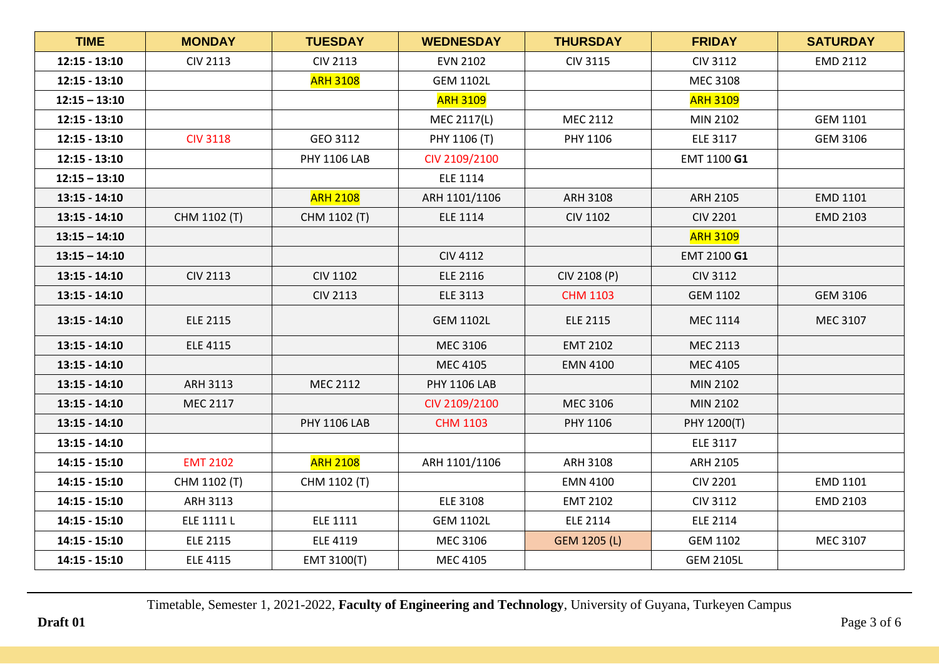| <b>TIME</b>     | <b>MONDAY</b>   | <b>TUESDAY</b>      | <b>WEDNESDAY</b>    | <b>THURSDAY</b> | <b>FRIDAY</b>    | <b>SATURDAY</b> |
|-----------------|-----------------|---------------------|---------------------|-----------------|------------------|-----------------|
| $12:15 - 13:10$ | <b>CIV 2113</b> | <b>CIV 2113</b>     | <b>EVN 2102</b>     | <b>CIV 3115</b> | <b>CIV 3112</b>  | EMD 2112        |
| $12:15 - 13:10$ |                 | <b>ARH 3108</b>     | <b>GEM 1102L</b>    |                 | MEC 3108         |                 |
| $12:15 - 13:10$ |                 |                     | <b>ARH 3109</b>     |                 | <b>ARH 3109</b>  |                 |
| $12:15 - 13:10$ |                 |                     | MEC 2117(L)         | MEC 2112        | MIN 2102         | <b>GEM 1101</b> |
| $12:15 - 13:10$ | <b>CIV 3118</b> | GEO 3112            | PHY 1106 (T)        | PHY 1106        | <b>ELE 3117</b>  | GEM 3106        |
| $12:15 - 13:10$ |                 | <b>PHY 1106 LAB</b> | CIV 2109/2100       |                 | EMT 1100 G1      |                 |
| $12:15 - 13:10$ |                 |                     | <b>ELE 1114</b>     |                 |                  |                 |
| $13:15 - 14:10$ |                 | <b>ARH 2108</b>     | ARH 1101/1106       | ARH 3108        | ARH 2105         | <b>EMD 1101</b> |
| $13:15 - 14:10$ | CHM 1102 (T)    | CHM 1102 (T)        | <b>ELE 1114</b>     | <b>CIV 1102</b> | <b>CIV 2201</b>  | <b>EMD 2103</b> |
| $13:15 - 14:10$ |                 |                     |                     |                 | <b>ARH 3109</b>  |                 |
| $13:15 - 14:10$ |                 |                     | <b>CIV 4112</b>     |                 | EMT 2100 G1      |                 |
| $13:15 - 14:10$ | <b>CIV 2113</b> | <b>CIV 1102</b>     | <b>ELE 2116</b>     | CIV 2108 (P)    | <b>CIV 3112</b>  |                 |
| $13:15 - 14:10$ |                 | <b>CIV 2113</b>     | <b>ELE 3113</b>     | <b>CHM 1103</b> | <b>GEM 1102</b>  | <b>GEM 3106</b> |
| $13:15 - 14:10$ | <b>ELE 2115</b> |                     | <b>GEM 1102L</b>    | <b>ELE 2115</b> | <b>MEC 1114</b>  | MEC 3107        |
| $13:15 - 14:10$ | <b>ELE 4115</b> |                     | MEC 3106            | <b>EMT 2102</b> | MEC 2113         |                 |
| $13:15 - 14:10$ |                 |                     | MEC 4105            | <b>EMN 4100</b> | <b>MEC 4105</b>  |                 |
| $13:15 - 14:10$ | ARH 3113        | MEC 2112            | <b>PHY 1106 LAB</b> |                 | MIN 2102         |                 |
| $13:15 - 14:10$ | MEC 2117        |                     | CIV 2109/2100       | MEC 3106        | MIN 2102         |                 |
| $13:15 - 14:10$ |                 | <b>PHY 1106 LAB</b> | <b>CHM 1103</b>     | PHY 1106        | PHY 1200(T)      |                 |
| $13:15 - 14:10$ |                 |                     |                     |                 | ELE 3117         |                 |
| $14:15 - 15:10$ | <b>EMT 2102</b> | <b>ARH 2108</b>     | ARH 1101/1106       | ARH 3108        | ARH 2105         |                 |
| $14:15 - 15:10$ | CHM 1102 (T)    | CHM 1102 (T)        |                     | <b>EMN 4100</b> | <b>CIV 2201</b>  | EMD 1101        |
| $14:15 - 15:10$ | ARH 3113        |                     | <b>ELE 3108</b>     | <b>EMT 2102</b> | <b>CIV 3112</b>  | EMD 2103        |
| $14:15 - 15:10$ | ELE 1111 L      | <b>ELE 1111</b>     | <b>GEM 1102L</b>    | <b>ELE 2114</b> | <b>ELE 2114</b>  |                 |
| $14:15 - 15:10$ | <b>ELE 2115</b> | <b>ELE 4119</b>     | MEC 3106            | GEM 1205 (L)    | <b>GEM 1102</b>  | MEC 3107        |
| $14:15 - 15:10$ | <b>ELE 4115</b> | EMT 3100(T)         | MEC 4105            |                 | <b>GEM 2105L</b> |                 |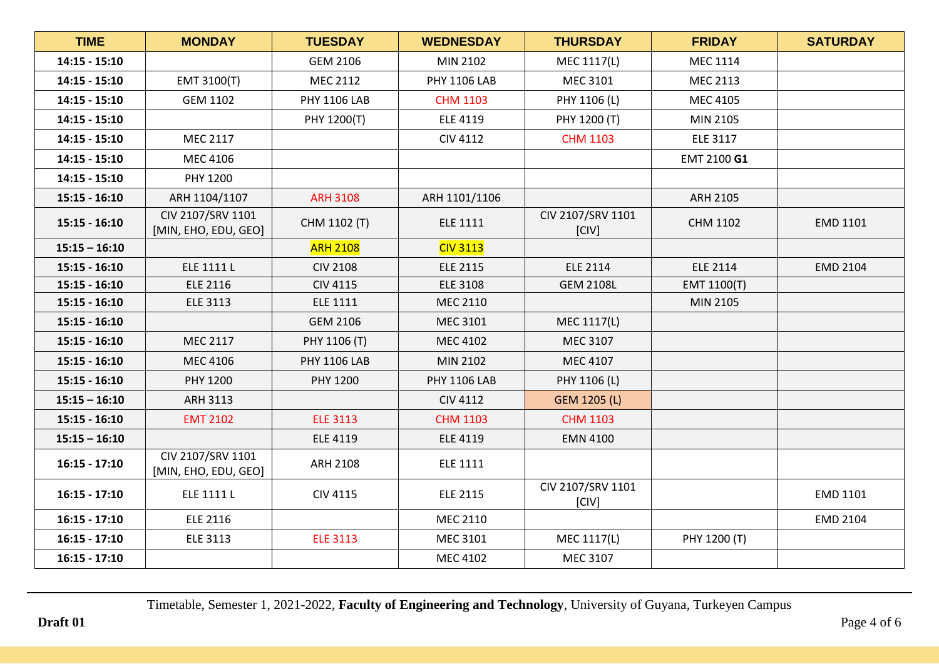| <b>TIME</b>     | <b>MONDAY</b>                             | <b>TUESDAY</b>      | <b>WEDNESDAY</b>    | <b>THURSDAY</b>            | <b>FRIDAY</b>   | <b>SATURDAY</b> |
|-----------------|-------------------------------------------|---------------------|---------------------|----------------------------|-----------------|-----------------|
| $14:15 - 15:10$ |                                           | <b>GEM 2106</b>     | MIN 2102            | MEC 1117(L)                | <b>MEC 1114</b> |                 |
| $14:15 - 15:10$ | EMT 3100(T)                               | MEC 2112            | <b>PHY 1106 LAB</b> | MEC 3101                   | MEC 2113        |                 |
| $14:15 - 15:10$ | <b>GEM 1102</b>                           | <b>PHY 1106 LAB</b> | <b>CHM 1103</b>     | PHY 1106 (L)               | <b>MEC 4105</b> |                 |
| $14:15 - 15:10$ |                                           | PHY 1200(T)         | <b>ELE 4119</b>     | PHY 1200 (T)               | MIN 2105        |                 |
| $14:15 - 15:10$ | <b>MEC 2117</b>                           |                     | <b>CIV 4112</b>     | <b>CHM 1103</b>            | <b>ELE 3117</b> |                 |
| $14:15 - 15:10$ | MEC 4106                                  |                     |                     |                            | EMT 2100 G1     |                 |
| $14:15 - 15:10$ | PHY 1200                                  |                     |                     |                            |                 |                 |
| $15:15 - 16:10$ | ARH 1104/1107                             | <b>ARH 3108</b>     | ARH 1101/1106       |                            | <b>ARH 2105</b> |                 |
| $15:15 - 16:10$ | CIV 2107/SRV 1101<br>[MIN, EHO, EDU, GEO] | CHM 1102 (T)        | <b>ELE 1111</b>     | CIV 2107/SRV 1101<br>[CIV] | CHM 1102        | EMD 1101        |
| $15:15 - 16:10$ |                                           | <b>ARH 2108</b>     | <b>CIV 3113</b>     |                            |                 |                 |
| $15:15 - 16:10$ | ELE 1111 L                                | <b>CIV 2108</b>     | <b>ELE 2115</b>     | <b>ELE 2114</b>            | <b>ELE 2114</b> | <b>EMD 2104</b> |
| $15:15 - 16:10$ | <b>ELE 2116</b>                           | <b>CIV 4115</b>     | <b>ELE 3108</b>     | <b>GEM 2108L</b>           | EMT 1100(T)     |                 |
| $15:15 - 16:10$ | <b>ELE 3113</b>                           | <b>ELE 1111</b>     | MEC 2110            |                            | MIN 2105        |                 |
| $15:15 - 16:10$ |                                           | <b>GEM 2106</b>     | MEC 3101            | MEC 1117(L)                |                 |                 |
| $15:15 - 16:10$ | MEC 2117                                  | PHY 1106 (T)        | MEC 4102            | MEC 3107                   |                 |                 |
| $15:15 - 16:10$ | MEC 4106                                  | <b>PHY 1106 LAB</b> | MIN 2102            | MEC 4107                   |                 |                 |
| $15:15 - 16:10$ | PHY 1200                                  | PHY 1200            | <b>PHY 1106 LAB</b> | PHY 1106 (L)               |                 |                 |
| $15:15 - 16:10$ | ARH 3113                                  |                     | <b>CIV 4112</b>     | GEM 1205 (L)               |                 |                 |
| $15:15 - 16:10$ | <b>EMT 2102</b>                           | <b>ELE 3113</b>     | <b>CHM 1103</b>     | <b>CHM 1103</b>            |                 |                 |
| $15:15 - 16:10$ |                                           | <b>ELE 4119</b>     | <b>ELE 4119</b>     | <b>EMN 4100</b>            |                 |                 |
| $16:15 - 17:10$ | CIV 2107/SRV 1101<br>[MIN, EHO, EDU, GEO] | <b>ARH 2108</b>     | <b>ELE 1111</b>     |                            |                 |                 |
| $16:15 - 17:10$ | ELE 1111 L                                | <b>CIV 4115</b>     | <b>ELE 2115</b>     | CIV 2107/SRV 1101<br>[CIV] |                 | EMD 1101        |
| $16:15 - 17:10$ | <b>ELE 2116</b>                           |                     | MEC 2110            |                            |                 | EMD 2104        |
| $16:15 - 17:10$ | <b>ELE 3113</b>                           | <b>ELE 3113</b>     | MEC 3101            | MEC 1117(L)                | PHY 1200 (T)    |                 |
| $16:15 - 17:10$ |                                           |                     | MEC 4102            | MEC 3107                   |                 |                 |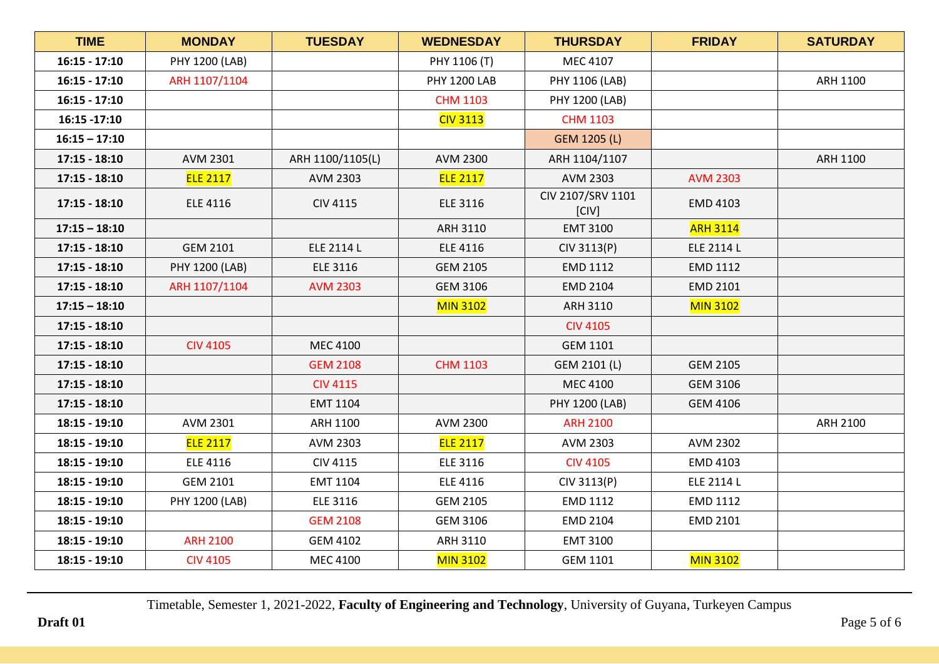| <b>TIME</b>     | <b>MONDAY</b>   | <b>TUESDAY</b>   | <b>WEDNESDAY</b>    | <b>THURSDAY</b>            | <b>FRIDAY</b>   | <b>SATURDAY</b> |
|-----------------|-----------------|------------------|---------------------|----------------------------|-----------------|-----------------|
| $16:15 - 17:10$ | PHY 1200 (LAB)  |                  | PHY 1106 (T)        | MEC 4107                   |                 |                 |
| $16:15 - 17:10$ | ARH 1107/1104   |                  | <b>PHY 1200 LAB</b> | PHY 1106 (LAB)             |                 | ARH 1100        |
| $16:15 - 17:10$ |                 |                  | <b>CHM 1103</b>     | PHY 1200 (LAB)             |                 |                 |
| 16:15 -17:10    |                 |                  | <b>CIV 3113</b>     | <b>CHM 1103</b>            |                 |                 |
| $16:15 - 17:10$ |                 |                  |                     | GEM 1205 (L)               |                 |                 |
| $17:15 - 18:10$ | AVM 2301        | ARH 1100/1105(L) | AVM 2300            | ARH 1104/1107              |                 | ARH 1100        |
| $17:15 - 18:10$ | <b>ELE 2117</b> | AVM 2303         | <b>ELE 2117</b>     | AVM 2303                   | <b>AVM 2303</b> |                 |
| $17:15 - 18:10$ | <b>ELE 4116</b> | <b>CIV 4115</b>  | <b>ELE 3116</b>     | CIV 2107/SRV 1101<br>[CIV] | <b>EMD 4103</b> |                 |
| $17:15 - 18:10$ |                 |                  | <b>ARH 3110</b>     | EMT 3100                   | <b>ARH 3114</b> |                 |
| $17:15 - 18:10$ | <b>GEM 2101</b> | ELE 2114 L       | <b>ELE 4116</b>     | CIV 3113(P)                | ELE 2114 L      |                 |
| $17:15 - 18:10$ | PHY 1200 (LAB)  | <b>ELE 3116</b>  | <b>GEM 2105</b>     | EMD 1112                   | EMD 1112        |                 |
| $17:15 - 18:10$ | ARH 1107/1104   | <b>AVM 2303</b>  | <b>GEM 3106</b>     | <b>EMD 2104</b>            | EMD 2101        |                 |
| $17:15 - 18:10$ |                 |                  | <b>MIN 3102</b>     | ARH 3110                   | <b>MIN 3102</b> |                 |
| $17:15 - 18:10$ |                 |                  |                     | <b>CIV 4105</b>            |                 |                 |
| $17:15 - 18:10$ | <b>CIV 4105</b> | MEC 4100         |                     | <b>GEM 1101</b>            |                 |                 |
| $17:15 - 18:10$ |                 | <b>GEM 2108</b>  | <b>CHM 1103</b>     | GEM 2101 (L)               | <b>GEM 2105</b> |                 |
| $17:15 - 18:10$ |                 | <b>CIV 4115</b>  |                     | MEC 4100                   | <b>GEM 3106</b> |                 |
| $17:15 - 18:10$ |                 | EMT 1104         |                     | PHY 1200 (LAB)             | <b>GEM 4106</b> |                 |
| $18:15 - 19:10$ | AVM 2301        | ARH 1100         | AVM 2300            | <b>ARH 2100</b>            |                 | ARH 2100        |
| 18:15 - 19:10   | <b>ELE 2117</b> | AVM 2303         | <b>ELE 2117</b>     | AVM 2303                   | AVM 2302        |                 |
| $18:15 - 19:10$ | <b>ELE 4116</b> | <b>CIV 4115</b>  | <b>ELE 3116</b>     | <b>CIV 4105</b>            | EMD 4103        |                 |
| $18:15 - 19:10$ | <b>GEM 2101</b> | EMT 1104         | <b>ELE 4116</b>     | CIV 3113(P)                | ELE 2114 L      |                 |
| $18:15 - 19:10$ | PHY 1200 (LAB)  | <b>ELE 3116</b>  | <b>GEM 2105</b>     | EMD 1112                   | EMD 1112        |                 |
| $18:15 - 19:10$ |                 | <b>GEM 2108</b>  | <b>GEM 3106</b>     | <b>EMD 2104</b>            | EMD 2101        |                 |
| $18:15 - 19:10$ | <b>ARH 2100</b> | <b>GEM 4102</b>  | ARH 3110            | EMT 3100                   |                 |                 |
| $18:15 - 19:10$ | <b>CIV 4105</b> | MEC 4100         | <b>MIN 3102</b>     | <b>GEM 1101</b>            | <b>MIN 3102</b> |                 |